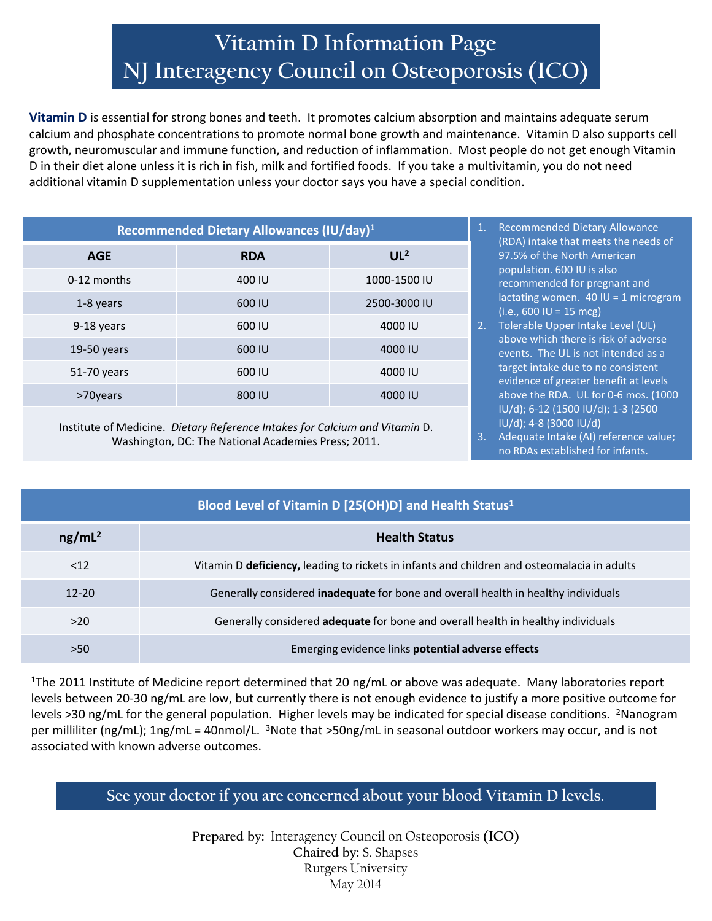## **Vitamin D Information Page NJ Interagency Council on Osteoporosis (ICO)**

**Vitamin D** is essential for strong bones and teeth. It promotes calcium absorption and maintains adequate serum calcium and phosphate concentrations to promote normal bone growth and maintenance. Vitamin D also supports cell growth, neuromuscular and immune function, and reduction of inflammation. Most people do not get enough Vitamin D in their diet alone unless it is rich in fish, milk and fortified foods. If you take a multivitamin, you do not need additional vitamin D supplementation unless your doctor says you have a special condition.

| Recommended Dietary Allowances (IU/day) <sup>1</sup> |            |                 |  |  |
|------------------------------------------------------|------------|-----------------|--|--|
| <b>AGE</b>                                           | <b>RDA</b> | UL <sup>2</sup> |  |  |
| 0-12 months                                          | 400 IU     | 1000-1500 IU    |  |  |
| 1-8 years                                            | 600 IU     | 2500-3000 IU    |  |  |
| 9-18 years                                           | 600 IU     | 4000 IU         |  |  |
| $19-50$ years                                        | 600 IU     | 4000 IU         |  |  |
| 51-70 years                                          | 600 IU     | 4000 IU         |  |  |
| >70years                                             | 800 IU     | 4000 IU         |  |  |

Institute of Medicine. *Dietary Reference Intakes for Calcium and Vitamin* D. Washington, DC: The National Academies Press; 2011.

- **Recommended Dietary Allowance** (RDA) intake that meets the needs of 97.5% of the North American population. 600 IU is also recommended for pregnant and lactating women.  $40$  IU = 1 microgram  $(i.e., 600$  IU = 15 mcg)
- 2. Tolerable Upper Intake Level (UL) above which there is risk of adverse events. The UL is not intended as a target intake due to no consistent evidence of greater benefit at levels above the RDA. UL for 0-6 mos. (1000 IU/d); 6-12 (1500 IU/d); 1-3 (2500 IU/d); 4-8 (3000 IU/d)
- 3. Adequate Intake (AI) reference value; no RDAs established for infants.

| Blood Level of Vitamin D [25(OH)D] and Health Status <sup>1</sup> |                                                                                             |  |  |
|-------------------------------------------------------------------|---------------------------------------------------------------------------------------------|--|--|
| ng/mL <sup>2</sup>                                                | <b>Health Status</b>                                                                        |  |  |
| $<$ 12                                                            | Vitamin D deficiency, leading to rickets in infants and children and osteomalacia in adults |  |  |
| $12 - 20$                                                         | Generally considered <b>inadequate</b> for bone and overall health in healthy individuals   |  |  |
| >20                                                               | Generally considered adequate for bone and overall health in healthy individuals            |  |  |
| >50                                                               | Emerging evidence links potential adverse effects                                           |  |  |

<sup>1</sup>The 2011 Institute of Medicine report determined that 20 ng/mL or above was adequate. Many laboratories report levels between 20-30 ng/mL are low, but currently there is not enough evidence to justify a more positive outcome for levels >30 ng/mL for the general population. Higher levels may be indicated for special disease conditions. <sup>2</sup>Nanogram per milliliter (ng/mL); 1ng/mL = 40nmol/L. <sup>3</sup>Note that >50ng/mL in seasonal outdoor workers may occur, and is not associated with known adverse outcomes.

**See your doctor if you are concerned about your blood Vitamin D levels.**

**Prepared by:** Interagency Council on Osteoporosis **(ICO) Chaired by:** S. Shapses Rutgers University May 2014